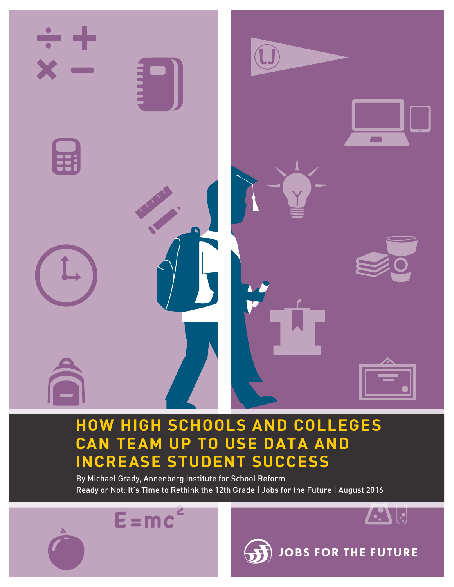

## **HOW HIGH SCHOOLS AND COLLEGES CAN TEAM UP TO USE DATA AND INCREASE STUDENT SUCCESS**

By Michael Grady, Annenberg Institute for School Reform Ready or Not: It's Time to Rethink the 12th Grade | Jobs for the Future | August 2016

**E =mc**

**2**



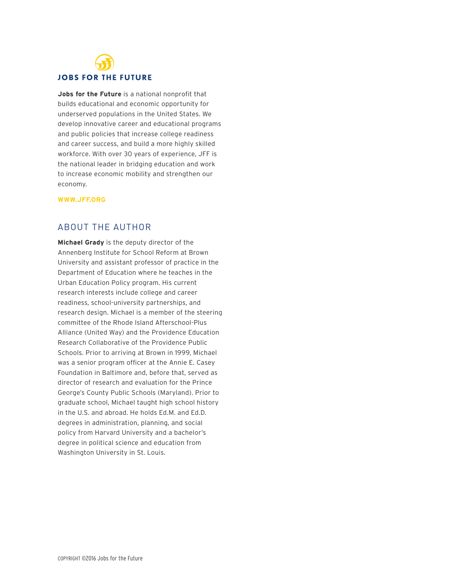# **JOBS FOR THE FUTURE**

**Jobs for the Future** is a national nonprofit that builds educational and economic opportunity for underserved populations in the United States. We develop innovative career and educational programs and public policies that increase college readiness and career success, and build a more highly skilled workforce. With over 30 years of experience, JFF is the national leader in bridging education and work to increase economic mobility and strengthen our economy.

#### **WWW.JFF.ORG**

### ABOUT THE AUTHOR

**Michael Grady** is the deputy director of the Annenberg Institute for School Reform at Brown University and assistant professor of practice in the Department of Education where he teaches in the Urban Education Policy program. His current research interests include college and career readiness, school-university partnerships, and research design. Michael is a member of the steering committee of the Rhode Island Afterschool-Plus Alliance (United Way) and the Providence Education Research Collaborative of the Providence Public Schools. Prior to arriving at Brown in 1999, Michael was a senior program officer at the Annie E. Casey Foundation in Baltimore and, before that, served as director of research and evaluation for the Prince George's County Public Schools (Maryland). Prior to graduate school, Michael taught high school history in the U.S. and abroad. He holds Ed.M. and Ed.D. degrees in administration, planning, and social policy from Harvard University and a bachelor's degree in political science and education from Washington University in St. Louis.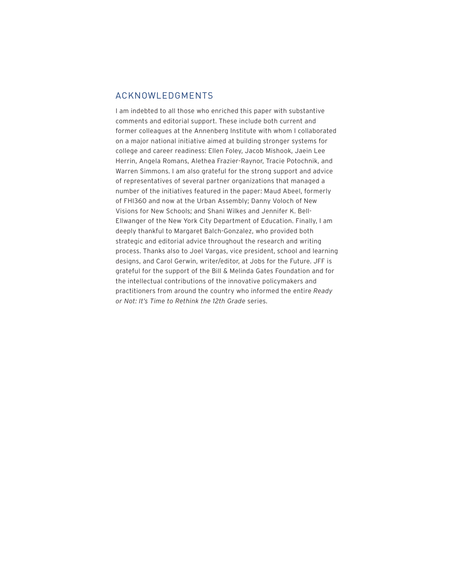#### ACKNOWLEDGMENTS

I am indebted to all those who enriched this paper with substantive comments and editorial support. These include both current and former colleagues at the Annenberg Institute with whom I collaborated on a major national initiative aimed at building stronger systems for college and career readiness: Ellen Foley, Jacob Mishook, Jaein Lee Herrin, Angela Romans, Alethea Frazier-Raynor, Tracie Potochnik, and Warren Simmons. I am also grateful for the strong support and advice of representatives of several partner organizations that managed a number of the initiatives featured in the paper: Maud Abeel, formerly of FHI360 and now at the Urban Assembly; Danny Voloch of New Visions for New Schools; and Shani Wilkes and Jennifer K. Bell-Ellwanger of the New York City Department of Education. Finally, I am deeply thankful to Margaret Balch-Gonzalez, who provided both strategic and editorial advice throughout the research and writing process. Thanks also to Joel Vargas, vice president, school and learning designs, and Carol Gerwin, writer/editor, at Jobs for the Future. JFF is grateful for the support of the Bill & Melinda Gates Foundation and for the intellectual contributions of the innovative policymakers and practitioners from around the country who informed the entire *Ready or Not: It's Time to Rethink the 12th Grade* series.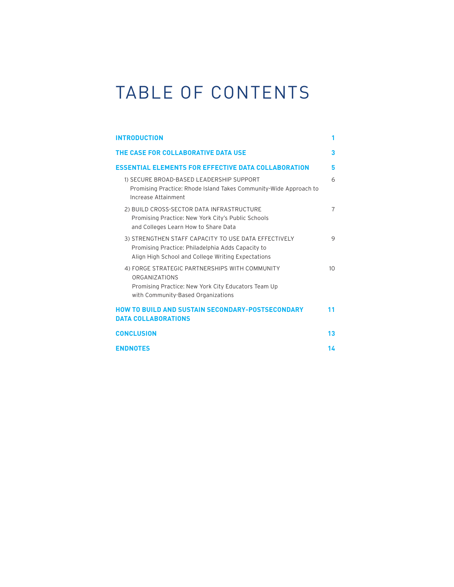# TABLE OF CONTENTS

| <b>INTRODUCTION</b>                                                                                                                                                 | 1              |
|---------------------------------------------------------------------------------------------------------------------------------------------------------------------|----------------|
| THE CASE FOR COLLABORATIVE DATA USE                                                                                                                                 | 3              |
| <b>ESSENTIAL ELEMENTS FOR EFFECTIVE DATA COLLABORATION</b>                                                                                                          | 5              |
| 1) SECURE BROAD-BASED LEADERSHIP SUPPORT<br>Promising Practice: Rhode Island Takes Community-Wide Approach to<br>Increase Attainment                                | 6              |
| 2) BUILD CROSS-SECTOR DATA INFRASTRUCTURE<br>Promising Practice: New York City's Public Schools<br>and Colleges Learn How to Share Data                             | $\overline{7}$ |
| 3) STRENGTHEN STAFF CAPACITY TO USE DATA EFFECTIVELY<br>Promising Practice: Philadelphia Adds Capacity to<br>Align High School and College Writing Expectations     | 9              |
| 4) FORGE STRATEGIC PARTNERSHIPS WITH COMMUNITY<br><b>ORGANIZATIONS</b><br>Promising Practice: New York City Educators Team Up<br>with Community-Based Organizations | 10             |
| <b>HOW TO BUILD AND SUSTAIN SECONDARY-POSTSECONDARY</b><br><b>DATA COLLABORATIONS</b>                                                                               | 11             |
| <b>CONCLUSION</b>                                                                                                                                                   | 13             |
| <b>ENDNOTES</b>                                                                                                                                                     | 14             |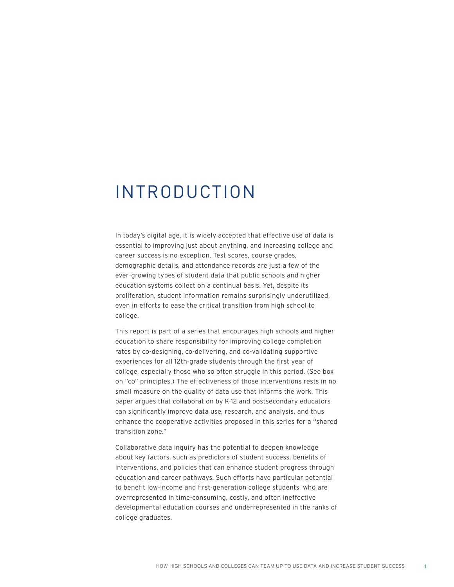## <span id="page-6-0"></span>INTRODUCTION

In today's digital age, it is widely accepted that effective use of data is essential to improving just about anything, and increasing college and career success is no exception. Test scores, course grades, demographic details, and attendance records are just a few of the ever-growing types of student data that public schools and higher education systems collect on a continual basis. Yet, despite its proliferation, student information remains surprisingly underutilized, even in efforts to ease the critical transition from high school to college.

This report is part of a series that encourages high schools and higher education to share responsibility for improving college completion rates by co-designing, co-delivering, and co-validating supportive experiences for all 12th-grade students through the first year of college, especially those who so often struggle in this period. (See box on "co" principles.) The effectiveness of those interventions rests in no small measure on the quality of data use that informs the work. This paper argues that collaboration by K-12 and postsecondary educators can significantly improve data use, research, and analysis, and thus enhance the cooperative activities proposed in this series for a "shared transition zone."

Collaborative data inquiry has the potential to deepen knowledge about key factors, such as predictors of student success, benefits of interventions, and policies that can enhance student progress through education and career pathways. Such efforts have particular potential to benefit low-income and first-generation college students, who are overrepresented in time-consuming, costly, and often ineffective developmental education courses and underrepresented in the ranks of college graduates.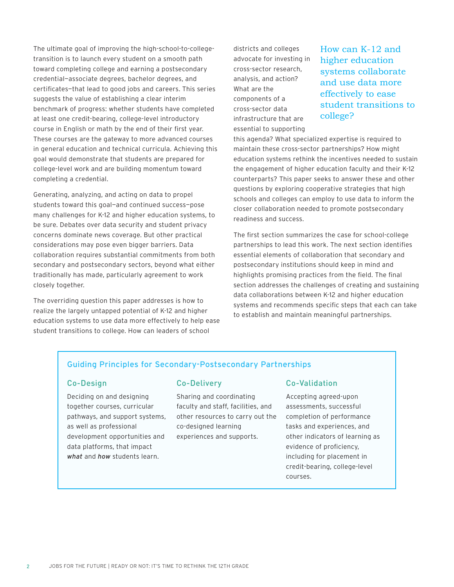The ultimate goal of improving the high-school-to-collegetransition is to launch every student on a smooth path toward completing college and earning a postsecondary credential—associate degrees, bachelor degrees, and certificates—that lead to good jobs and careers. This series suggests the value of establishing a clear interim benchmark of progress: whether students have completed at least one credit-bearing, college-level introductory course in English or math by the end of their first year. These courses are the gateway to more advanced courses in general education and technical curricula. Achieving this goal would demonstrate that students are prepared for college-level work and are building momentum toward completing a credential.

Generating, analyzing, and acting on data to propel students toward this goal—and continued success—pose many challenges for K-12 and higher education systems, to be sure. Debates over data security and student privacy concerns dominate news coverage. But other practical considerations may pose even bigger barriers. Data collaboration requires substantial commitments from both secondary and postsecondary sectors, beyond what either traditionally has made, particularly agreement to work closely together.

The overriding question this paper addresses is how to realize the largely untapped potential of K-12 and higher education systems to use data more effectively to help ease student transitions to college. How can leaders of school

districts and colleges advocate for investing in cross-sector research, analysis, and action? What are the components of a cross-sector data infrastructure that are essential to supporting

How can K-12 and higher education systems collaborate and use data more effectively to ease student transitions to college?

this agenda? What specialized expertise is required to maintain these cross-sector partnerships? How might education systems rethink the incentives needed to sustain the engagement of higher education faculty and their K-12 counterparts? This paper seeks to answer these and other questions by exploring cooperative strategies that high schools and colleges can employ to use data to inform the closer collaboration needed to promote postsecondary readiness and success.

The first section summarizes the case for school-college partnerships to lead this work. The next section identifies essential elements of collaboration that secondary and postsecondary institutions should keep in mind and highlights promising practices from the field. The final section addresses the challenges of creating and sustaining data collaborations between K-12 and higher education systems and recommends specific steps that each can take to establish and maintain meaningful partnerships.

#### Guiding Principles for Secondary-Postsecondary Partnerships

#### Co-Design

Deciding on and designing together courses, curricular pathways, and support systems, as well as professional development opportunities and data platforms, that impact *what* and *how* students learn.

#### Co-Delivery

Sharing and coordinating faculty and staff, facilities, and other resources to carry out the co-designed learning experiences and supports.

#### Co-Validation

Accepting agreed-upon assessments, successful completion of performance tasks and experiences, and other indicators of learning as evidence of proficiency, including for placement in credit-bearing, college-level courses.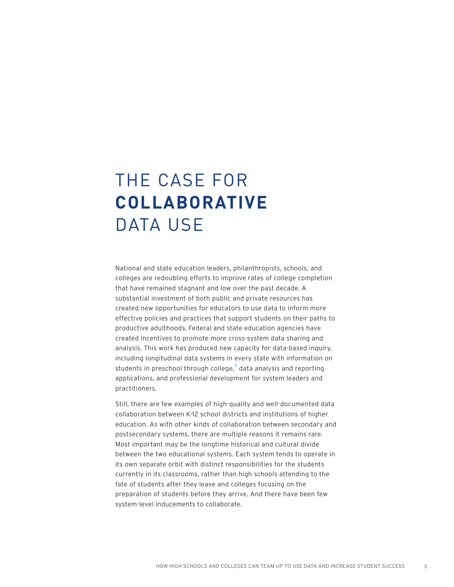# THE CASE FOR **COLLABORATIVE** DATA USE

National and state education leaders, philanthropists, schools, and colleges are redoubling efforts to improve rates of college completion that have remained stagnant and low over the past decade. A substantial investment of both public and private resources has created new opportunities for educators to use data to inform more effective policies and practices that support students on their paths to productive adulthoods. Federal and state education agencies have created incentives to promote more cross-system data sharing and analysis. This work has produced new capacity for data-based inquiry, including longitudinal data systems in every state with information on students in preschool through college,<sup>1</sup> data analysis and reporting applications, and professional development for system leaders and practitioners.

Still, there are few examples of high-quality and well-documented data collaboration between K-12 school districts and institutions of higher education. As with other kinds of collaboration between secondary and postsecondary systems, there are multiple reasons it remains rare. Most important may be the longtime historical and cultural divide between the two educational systems. Each system tends to operate in its own separate orbit with distinct responsibilities for the students currently in its classrooms, rather than high schools attending to the fate of students after they leave and colleges focusing on the preparation of students before they arrive. And there have been few system-level inducements to collaborate.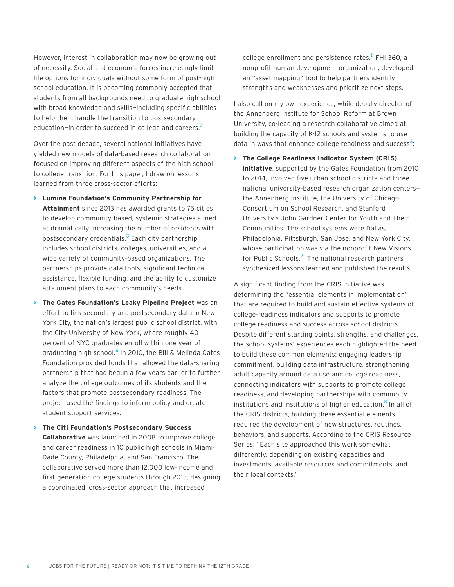However, interest in collaboration may now be growing out of necessity. Social and economic forces increasingly limit life options for individuals without some form of post-high school education. It is becoming commonly accepted that students from all backgrounds need to graduate high school with broad knowledge and skills—including specific abilities to help them handle the transition to postsecondary education-in order to succeed in college and careers.<sup>2</sup>

Over the past decade, several national initiatives have yielded new models of data-based research collaboration focused on improving different aspects of the high school to college transition. For this paper, I draw on lessons learned from three cross-sector efforts:

- **> Lumina Foundation's Community Partnership for Attainment** since 2013 has awarded grants to 75 cities to develop community-based, systemic strategies aimed at dramatically increasing the number of residents with postsecondary credentials.<sup>3</sup> Each city partnership includes school districts, colleges, universities, and a wide variety of community-based organizations. The partnerships provide data tools, significant technical assistance, flexible funding, and the ability to customize attainment plans to each community's needs.
- **> The Gates Foundation's Leaky Pipeline Project** was an effort to link secondary and postsecondary data in New York City, the nation's largest public school district, with the City University of New York, where roughly 40 percent of NYC graduates enroll within one year of graduating high school.<sup>4</sup> In 2010, the Bill & Melinda Gates Foundation provided funds that allowed the data-sharing partnership that had begun a few years earlier to further analyze the college outcomes of its students and the factors that promote postsecondary readiness. The project used the findings to inform policy and create student support services.
- **> The Citi Foundation's Postsecondary Success Collaborative** was launched in 2008 to improve college and career readiness in 10 public high schools in Miami-Dade County, Philadelphia, and San Francisco. The collaborative served more than 12,000 low-income and first-generation college students through 2013, designing a coordinated, cross-sector approach that increased

college enrollment and persistence rates.<sup>5</sup> FHI 360, a nonprofit human development organization, developed an "asset mapping" tool to help partners identify strengths and weaknesses and prioritize next steps.

I also call on my own experience, while deputy director of the Annenberg Institute for School Reform at Brown University, co-leading a research collaborative aimed at building the capacity of K-12 schools and systems to use data in ways that enhance college readiness and success $^6:$ 

**> The College Readiness Indicator System (CRIS) initiative**, supported by the Gates Foundation from 2010 to 2014, involved five urban school districts and three national university-based research organization centers the Annenberg Institute, the University of Chicago Consortium on School Research, and Stanford University's John Gardner Center for Youth and Their Communities. The school systems were Dallas, Philadelphia, Pittsburgh, San Jose, and New York City, whose participation was via the nonprofit New Visions for Public Schools.<sup>7</sup> The national research partners synthesized lessons learned and published the results.

A significant finding from the CRIS initiative was determining the "essential elements in implementation" that are required to build and sustain effective systems of college-readiness indicators and supports to promote college readiness and success across school districts. Despite different starting points, strengths, and challenges, the school systems' experiences each highlighted the need to build these common elements: engaging leadership commitment, building data infrastructure, strengthening adult capacity around data use and college readiness, connecting indicators with supports to promote college readiness, and developing partnerships with community institutions and institutions of higher education.<sup>8</sup> In all of the CRIS districts, building these essential elements required the development of new structures, routines, behaviors, and supports. According to the CRIS Resource Series: "Each site approached this work somewhat differently, depending on existing capacities and investments, available resources and commitments, and their local contexts."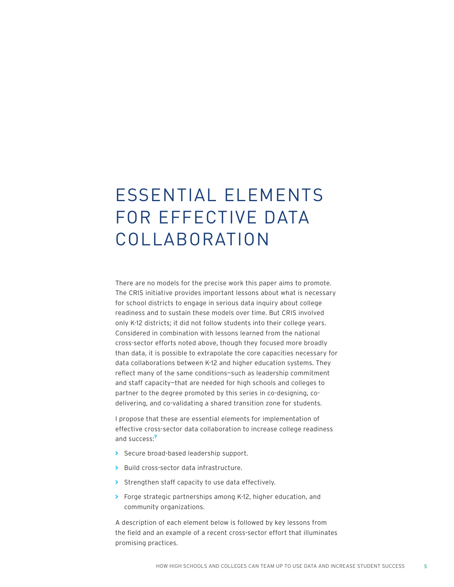# ESSENTIAL ELEMENTS FOR EFFECTIVE DATA COLLABORATION

There are no models for the precise work this paper aims to promote. The CRIS initiative provides important lessons about what is necessary for school districts to engage in serious data inquiry about college readiness and to sustain these models over time. But CRIS involved only K-12 districts; it did not follow students into their college years. Considered in combination with lessons learned from the national cross-sector efforts noted above, though they focused more broadly than data, it is possible to extrapolate the core capacities necessary for data collaborations between K-12 and higher education systems. They reflect many of the same conditions—such as leadership commitment and staff capacity—that are needed for high schools and colleges to partner to the degree promoted by this series in co-designing, codelivering, and co-validating a shared transition zone for students.

I propose that these are essential elements for implementation of effective cross-sector data collaboration to increase college readiness and success:<sup>9</sup>

- **>** Secure broad-based leadership support.
- **>** Build cross-sector data infrastructure.
- **>** Strengthen staff capacity to use data effectively.
- **>** Forge strategic partnerships among K-12, higher education, and community organizations.

A description of each element below is followed by key lessons from the field and an example of a recent cross-sector effort that illuminates promising practices.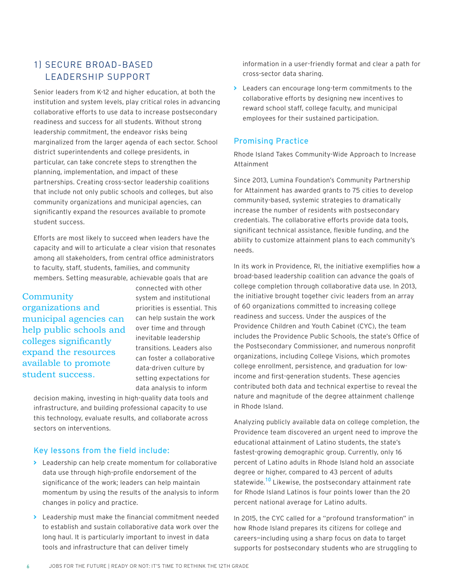### 1) SECURE BROAD-BASED LEADERSHIP SUPPORT

Senior leaders from K-12 and higher education, at both the institution and system levels, play critical roles in advancing collaborative efforts to use data to increase postsecondary readiness and success for all students. Without strong leadership commitment, the endeavor risks being marginalized from the larger agenda of each sector. School district superintendents and college presidents, in particular, can take concrete steps to strengthen the planning, implementation, and impact of these partnerships. Creating cross-sector leadership coalitions that include not only public schools and colleges, but also community organizations and municipal agencies, can significantly expand the resources available to promote student success.

Efforts are most likely to succeed when leaders have the capacity and will to articulate a clear vision that resonates among all stakeholders, from central office administrators to faculty, staff, students, families, and community members. Setting measurable, achievable goals that are

#### **Community**

organizations and municipal agencies can help public schools and colleges significantly expand the resources available to promote student success.

connected with other system and institutional priorities is essential. This can help sustain the work over time and through inevitable leadership transitions. Leaders also can foster a collaborative data-driven culture by setting expectations for data analysis to inform

decision making, investing in high-quality data tools and infrastructure, and building professional capacity to use this technology, evaluate results, and collaborate across sectors on interventions.

#### Key lessons from the field include:

- **>** Leadership can help create momentum for collaborative data use through high-profile endorsement of the significance of the work; leaders can help maintain momentum by using the results of the analysis to inform changes in policy and practice.
- **>** Leadership must make the financial commitment needed to establish and sustain collaborative data work over the long haul. It is particularly important to invest in data tools and infrastructure that can deliver timely

information in a user-friendly format and clear a path for cross-sector data sharing.

**>** Leaders can encourage long-term commitments to the collaborative efforts by designing new incentives to reward school staff, college faculty, and municipal employees for their sustained participation.

#### Promising Practice

Rhode Island Takes Community-Wide Approach to Increase Attainment

Since 2013, Lumina Foundation's Community Partnership for Attainment has awarded grants to 75 cities to develop community-based, systemic strategies to dramatically increase the number of residents with postsecondary credentials. The collaborative efforts provide data tools, significant technical assistance, flexible funding, and the ability to customize attainment plans to each community's needs.

In its work in Providence, RI, the initiative exemplifies how a broad-based leadership coalition can advance the goals of college completion through collaborative data use. In 2013, the initiative brought together civic leaders from an array of 60 organizations committed to increasing college readiness and success. Under the auspices of the Providence Children and Youth Cabinet (CYC), the team includes the Providence Public Schools, the state's Office of the Postsecondary Commissioner, and numerous nonprofit organizations, including College Visions, which promotes college enrollment, persistence, and graduation for lowincome and first-generation students. These agencies contributed both data and technical expertise to reveal the nature and magnitude of the degree attainment challenge in Rhode Island.

Analyzing publicly available data on college completion, the Providence team discovered an urgent need to improve the educational attainment of Latino students, the state's fastest-growing demographic group. Currently, only 16 percent of Latino adults in Rhode Island hold an associate degree or higher, compared to 43 percent of adults statewide.<sup>10</sup> Likewise, the postsecondary attainment rate for Rhode Island Latinos is four points lower than the 20 percent national average for Latino adults.

In 2015, the CYC called for a "profound transformation" in how Rhode Island prepares its citizens for college and careers—including using a sharp focus on data to target supports for postsecondary students who are struggling to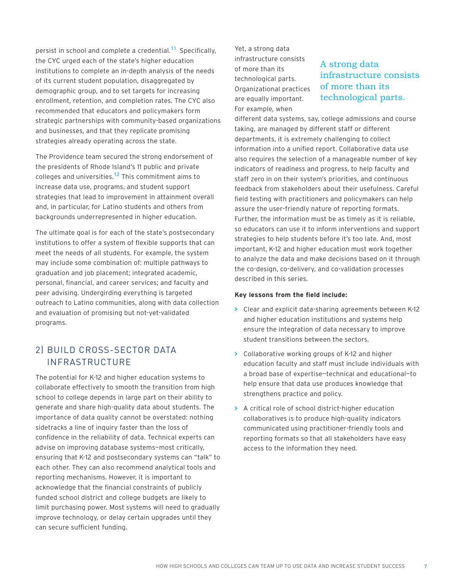persist in school and complete a credential.<sup>11</sup> Specifically, the CYC urged each of the state's higher education institutions to complete an in-depth analysis of the needs of its current student population, disaggregated by demographic group, and to set targets for increasing enrollment, retention, and completion rates. The CYC also recommended that educators and policymakers form strategic partnerships with community-based organizations and businesses, and that they replicate promising strategies already operating across the state.

The Providence team secured the strong endorsement of the presidents of Rhode Island's 11 public and private colleges and universities.12 This commitment aims to increase data use, programs, and student support strategies that lead to improvement in attainment overall and, in particular, for Latino students and others from backgrounds underrepresented in higher education.

The ultimate goal is for each of the state's postsecondary institutions to offer a system of flexible supports that can meet the needs of all students. For example, the system may include some combination of: multiple pathways to graduation and job placement; integrated academic, personal, financial, and career services; and faculty and peer advising. Undergirding everything is targeted outreach to Latino communities, along with data collection and evaluation of promising but not-yet-validated programs.

### 2) BUILD CROSS-SECTOR DATA INFRASTRUCTURE

The potential for K-12 and higher education systems to collaborate effectively to smooth the transition from high school to college depends in large part on their ability to generate and share high-quality data about students. The importance of data quality cannot be overstated: nothing sidetracks a line of inquiry faster than the loss of confidence in the reliability of data. Technical experts can advise on improving database systems—most critically, ensuring that K-12 and postsecondary systems can "talk" to each other. They can also recommend analytical tools and reporting mechanisms. However, it is important to acknowledge that the financial constraints of publicly funded school district and college budgets are likely to limit purchasing power. Most systems will need to gradually improve technology, or delay certain upgrades until they can secure sufficient funding.

Yet, a strong data infrastructure consists of more than its technological parts. Organizational practices are equally important. For example, when

## A strong data infrastructure consists of more than its technological parts.

different data systems, say, college admissions and course taking, are managed by different staff or different departments, it is extremely challenging to collect information into a unified report. Collaborative data use also requires the selection of a manageable number of key indicators of readiness and progress, to help faculty and staff zero in on their system's priorities, and continuous feedback from stakeholders about their usefulness. Careful field testing with practitioners and policymakers can help assure the user-friendly nature of reporting formats. Further, the information must be as timely as it is reliable, so educators can use it to inform interventions and support strategies to help students before it's too late. And, most important, K-12 and higher education must work together to analyze the data and make decisions based on it through the co-design, co-delivery, and co-validation processes described in this series.

#### **Key lessons from the field include:**

- **>** Clear and explicit data-sharing agreements between K-12 and higher education institutions and systems help ensure the integration of data necessary to improve student transitions between the sectors.
- **>** Collaborative working groups of K-12 and higher education faculty and staff must include individuals with a broad base of expertise—technical and educational—to help ensure that data use produces knowledge that strengthens practice and policy.
- **>** A critical role of school district-higher education collaboratives is to produce high-quality indicators communicated using practitioner-friendly tools and reporting formats so that all stakeholders have easy access to the information they need.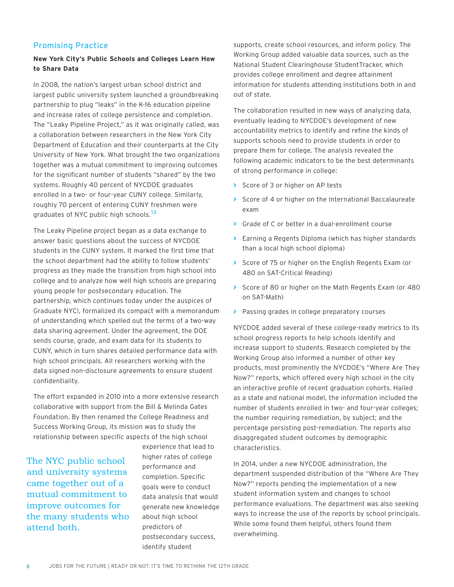#### Promising Practice

#### **New York City's Public Schools and Colleges Learn How to Share Data**

In 2008, the nation's largest urban school district and largest public university system launched a groundbreaking partnership to plug "leaks" in the K-16 education pipeline and increase rates of college persistence and completion. The "Leaky Pipeline Project," as it was originally called, was a collaboration between researchers in the New York City Department of Education and their counterparts at the City University of New York. What brought the two organizations together was a mutual commitment to improving outcomes for the significant number of students "shared" by the two systems. Roughly 40 percent of NYCDOE graduates enrolled in a two- or four-year CUNY college. Similarly, roughly 70 percent of entering CUNY freshmen were graduates of NYC public high schools.<sup>13</sup>

The Leaky Pipeline project began as a data exchange to answer basic questions about the success of NYCDOE students in the CUNY system. It marked the first time that the school department had the ability to follow students' progress as they made the transition from high school into college and to analyze how well high schools are preparing young people for postsecondary education. The partnership, which continues today under the auspices of Graduate NYC!, formalized its compact with a memorandum of understanding which spelled out the terms of a two-way data sharing agreement. Under the agreement, the DOE sends course, grade, and exam data for its students to CUNY, which in turn shares detailed performance data with high school principals. All researchers working with the data signed non-disclosure agreements to ensure student confidentiality.

The effort expanded in 2010 into a more extensive research collaborative with support from the Bill & Melinda Gates Foundation. By then renamed the College Readiness and Success Working Group, its mission was to study the relationship between specific aspects of the high school

The NYC public school and university systems came together out of a mutual commitment to improve outcomes for the many students who attend both.

experience that lead to higher rates of college performance and completion. Specific goals were to conduct data analysis that would generate new knowledge about high school predictors of postsecondary success, identify student

supports, create school resources, and inform policy. The Working Group added valuable data sources, such as the National Student Clearinghouse StudentTracker, which provides college enrollment and degree attainment information for students attending institutions both in and out of state.

The collaboration resulted in new ways of analyzing data, eventually leading to NYCDOE's development of new accountability metrics to identify and refine the kinds of supports schools need to provide students in order to prepare them for college. The analysis revealed the following academic indicators to be the best determinants of strong performance in college:

- **>** Score of 3 or higher on AP tests
- **>** Score of 4 or higher on the International Baccalaureate exam
- **>** Grade of C or better in a dual-enrollment course
- **>** Earning a Regents Diploma (which has higher standards than a local high school diploma)
- **>** Score of 75 or higher on the English Regents Exam (or 480 on SAT-Critical Reading)
- **>** Score of 80 or higher on the Math Regents Exam (or 480 on SAT-Math)
- **>** Passing grades in college preparatory courses

NYCDOE added several of these college-ready metrics to its school progress reports to help schools identify and increase support to students. Research completed by the Working Group also informed a number of other key products, most prominently the NYCDOE's "Where Are They Now?" reports, which offered every high school in the city an interactive profile of recent graduation cohorts. Hailed as a state and national model, the information included the number of students enrolled in two- and four-year colleges; the number requiring remediation, by subject; and the percentage persisting post-remediation. The reports also disaggregated student outcomes by demographic characteristics.

In 2014, under a new NYCDOE administration, the department suspended distribution of the "Where Are They Now?" reports pending the implementation of a new student information system and changes to school performance evaluations. The department was also seeking ways to increase the use of the reports by school principals. While some found them helpful, others found them overwhelming.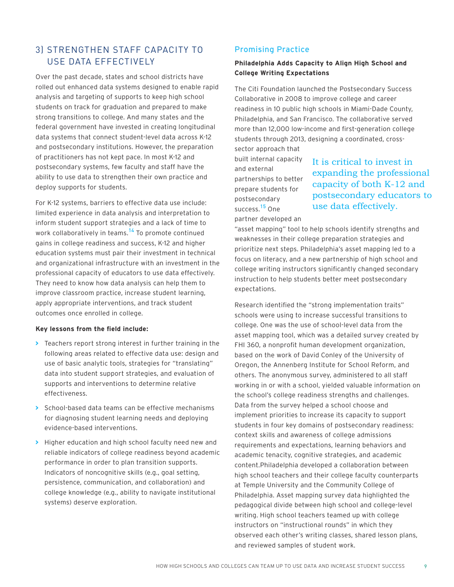### 3) STRENGTHEN STAFF CAPACITY TO USE DATA EFFECTIVELY

Over the past decade, states and school districts have rolled out enhanced data systems designed to enable rapid analysis and targeting of supports to keep high school students on track for graduation and prepared to make strong transitions to college. And many states and the federal government have invested in creating longitudinal data systems that connect student-level data across K-12 and postsecondary institutions. However, the preparation of practitioners has not kept pace. In most K-12 and postsecondary systems, few faculty and staff have the ability to use data to strengthen their own practice and deploy supports for students.

For K-12 systems, barriers to effective data use include: limited experience in data analysis and interpretation to inform student support strategies and a lack of time to work collaboratively in teams.<sup>14</sup> To promote continued gains in college readiness and success, K-12 and higher education systems must pair their investment in technical and organizational infrastructure with an investment in the professional capacity of educators to use data effectively. They need to know how data analysis can help them to improve classroom practice, increase student learning, apply appropriate interventions, and track student outcomes once enrolled in college.

#### **Key lessons from the field include:**

- **>** Teachers report strong interest in further training in the following areas related to effective data use: design and use of basic analytic tools, strategies for "translating" data into student support strategies, and evaluation of supports and interventions to determine relative effectiveness.
- **>** School-based data teams can be effective mechanisms for diagnosing student learning needs and deploying evidence-based interventions.
- **>** Higher education and high school faculty need new and reliable indicators of college readiness beyond academic performance in order to plan transition supports. Indicators of noncognitive skills (e.g., goal setting, persistence, communication, and collaboration) and college knowledge (e.g., ability to navigate institutional systems) deserve exploration.

#### Promising Practice

#### **Philadelphia Adds Capacity to Align High School and College Writing Expectations**

The Citi Foundation launched the Postsecondary Success Collaborative in 2008 to improve college and career readiness in 10 public high schools in Miami-Dade County, Philadelphia, and San Francisco. The collaborative served more than 12,000 low-income and first-generation college students through 2013, designing a coordinated, crosssector approach that

built internal capacity and external partnerships to better prepare students for postsecondary success.<sup>15</sup> One partner developed an

It is critical to invest in expanding the professional capacity of both K-12 and postsecondary educators to use data effectively.

"asset mapping" tool to help schools identify strengths and weaknesses in their college preparation strategies and prioritize next steps. Philadelphia's asset mapping led to a focus on literacy, and a new partnership of high school and college writing instructors significantly changed secondary instruction to help students better meet postsecondary expectations.

Research identified the "strong implementation traits" schools were using to increase successful transitions to college. One was the use of school-level data from the asset mapping tool, which was a detailed survey created by FHI 360, a nonprofit human development organization, based on the work of David Conley of the University of Oregon, the Annenberg Institute for School Reform, and others. The anonymous survey, administered to all staff working in or with a school, yielded valuable information on the school's college readiness strengths and challenges. Data from the survey helped a school choose and implement priorities to increase its capacity to support students in four key domains of postsecondary readiness: context skills and awareness of college admissions requirements and expectations, learning behaviors and academic tenacity, cognitive strategies, and academic content.Philadelphia developed a collaboration between high school teachers and their college faculty counterparts at Temple University and the Community College of Philadelphia. Asset mapping survey data highlighted the pedagogical divide between high school and college-level writing. High school teachers teamed up with college instructors on "instructional rounds" in which they observed each other's writing classes, shared lesson plans, and reviewed samples of student work.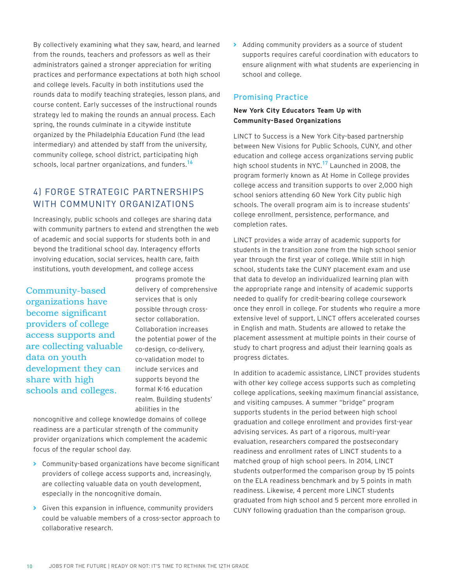By collectively examining what they saw, heard, and learned from the rounds, teachers and professors as well as their administrators gained a stronger appreciation for writing practices and performance expectations at both high school and college levels. Faculty in both institutions used the rounds data to modify teaching strategies, lesson plans, and course content. Early successes of the instructional rounds strategy led to making the rounds an annual process. Each spring, the rounds culminate in a citywide institute organized by the Philadelphia Education Fund (the lead intermediary) and attended by staff from the university, community college, school district, participating high schools, local partner organizations, and funders.<sup>16</sup>

## 4) FORGE STRATEGIC PARTNERSHIPS WITH COMMUNITY ORGANIZATIONS

Increasingly, public schools and colleges are sharing data with community partners to extend and strengthen the web of academic and social supports for students both in and beyond the traditional school day. Interagency efforts involving education, social services, health care, faith institutions, youth development, and college access

Community-based organizations have become significant providers of college access supports and are collecting valuable data on youth development they can share with high schools and colleges.

programs promote the delivery of comprehensive services that is only possible through crosssector collaboration. Collaboration increases the potential power of the co-design, co-delivery, co-validation model to include services and supports beyond the formal K-16 education realm. Building students' abilities in the

noncognitive and college knowledge domains of college readiness are a particular strength of the community provider organizations which complement the academic focus of the regular school day.

- **>** Community-based organizations have become significant providers of college access supports and, increasingly, are collecting valuable data on youth development, especially in the noncognitive domain.
- **>** Given this expansion in influence, community providers could be valuable members of a cross-sector approach to collaborative research.

**>** Adding community providers as a source of student supports requires careful coordination with educators to ensure alignment with what students are experiencing in school and college.

#### Promising Practice

#### **New York City Educators Team Up with Community-Based Organizations**

LINCT to Success is a New York City-based partnership between New Visions for Public Schools, CUNY, and other education and college access organizations serving public high school students in NYC.<sup>17</sup> Launched in 2008, the program formerly known as At Home in College provides college access and transition supports to over 2,000 high school seniors attending 60 New York City public high schools. The overall program aim is to increase students' college enrollment, persistence, performance, and completion rates.

LINCT provides a wide array of academic supports for students in the transition zone from the high school senior year through the first year of college. While still in high school, students take the CUNY placement exam and use that data to develop an individualized learning plan with the appropriate range and intensity of academic supports needed to qualify for credit-bearing college coursework once they enroll in college. For students who require a more extensive level of support, LINCT offers accelerated courses in English and math. Students are allowed to retake the placement assessment at multiple points in their course of study to chart progress and adjust their learning goals as progress dictates.

In addition to academic assistance, LINCT provides students with other key college access supports such as completing college applications, seeking maximum financial assistance, and visiting campuses. A summer "bridge" program supports students in the period between high school graduation and college enrollment and provides first-year advising services. As part of a rigorous, multi-year evaluation, researchers compared the postsecondary readiness and enrollment rates of LINCT students to a matched group of high school peers. In 2014, LINCT students outperformed the comparison group by 15 points on the ELA readiness benchmark and by 5 points in math readiness. Likewise, 4 percent more LINCT students graduated from high school and 5 percent more enrolled in CUNY following graduation than the comparison group.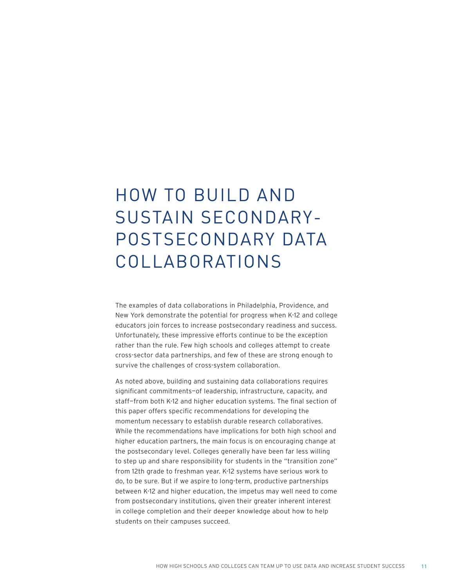# HOW TO BUILD AND SUSTAIN SECONDARY-POSTSECONDARY DATA COLLABORATIONS

The examples of data collaborations in Philadelphia, Providence, and New York demonstrate the potential for progress when K-12 and college educators join forces to increase postsecondary readiness and success. Unfortunately, these impressive efforts continue to be the exception rather than the rule. Few high schools and colleges attempt to create cross-sector data partnerships, and few of these are strong enough to survive the challenges of cross-system collaboration.

As noted above, building and sustaining data collaborations requires significant commitments—of leadership, infrastructure, capacity, and staff—from both K-12 and higher education systems. The final section of this paper offers specific recommendations for developing the momentum necessary to establish durable research collaboratives. While the recommendations have implications for both high school and higher education partners, the main focus is on encouraging change at the postsecondary level. Colleges generally have been far less willing to step up and share responsibility for students in the "transition zone" from 12th grade to freshman year. K-12 systems have serious work to do, to be sure. But if we aspire to long-term, productive partnerships between K-12 and higher education, the impetus may well need to come from postsecondary institutions, given their greater inherent interest in college completion and their deeper knowledge about how to help students on their campuses succeed.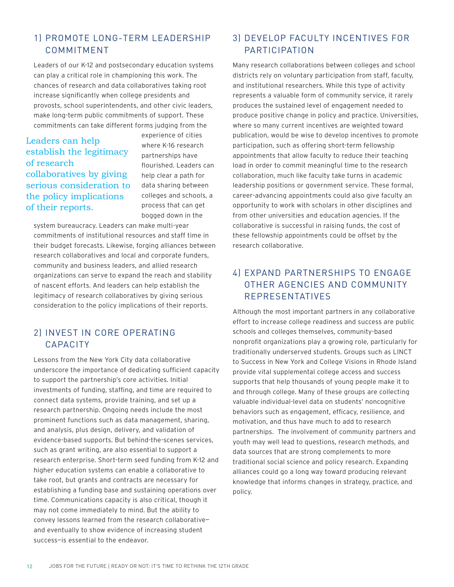## 1) PROMOTE LONG-TERM LEADERSHIP COMMITMENT

Leaders of our K-12 and postsecondary education systems can play a critical role in championing this work. The chances of research and data collaboratives taking root increase significantly when college presidents and provosts, school superintendents, and other civic leaders, make long-term public commitments of support. These commitments can take different forms judging from the

### Leaders can help establish the legitimacy of research collaboratives by giving serious consideration to the policy implications of their reports.

experience of cities where K-16 research partnerships have flourished. Leaders can help clear a path for data sharing between colleges and schools, a process that can get bogged down in the

system bureaucracy. Leaders can make multi-year commitments of institutional resources and staff time in their budget forecasts. Likewise, forging alliances between research collaboratives and local and corporate funders, community and business leaders, and allied research organizations can serve to expand the reach and stability of nascent efforts. And leaders can help establish the legitimacy of research collaboratives by giving serious consideration to the policy implications of their reports.

## 2) INVEST IN CORE OPERATING CAPACITY

Lessons from the New York City data collaborative underscore the importance of dedicating sufficient capacity to support the partnership's core activities. Initial investments of funding, staffing, and time are required to connect data systems, provide training, and set up a research partnership. Ongoing needs include the most prominent functions such as data management, sharing, and analysis, plus design, delivery, and validation of evidence-based supports. But behind-the-scenes services, such as grant writing, are also essential to support a research enterprise. Short-term seed funding from K-12 and higher education systems can enable a collaborative to take root, but grants and contracts are necessary for establishing a funding base and sustaining operations over time. Communications capacity is also critical, though it may not come immediately to mind. But the ability to convey lessons learned from the research collaborative and eventually to show evidence of increasing student success—is essential to the endeavor.

## 3) DEVELOP FACULTY INCENTIVES FOR PARTICIPATION

Many research collaborations between colleges and school districts rely on voluntary participation from staff, faculty, and institutional researchers. While this type of activity represents a valuable form of community service, it rarely produces the sustained level of engagement needed to produce positive change in policy and practice. Universities, where so many current incentives are weighted toward publication, would be wise to develop incentives to promote participation, such as offering short-term fellowship appointments that allow faculty to reduce their teaching load in order to commit meaningful time to the research collaboration, much like faculty take turns in academic leadership positions or government service. These formal, career-advancing appointments could also give faculty an opportunity to work with scholars in other disciplines and from other universities and education agencies. If the collaborative is successful in raising funds, the cost of these fellowship appointments could be offset by the research collaborative.

## 4) EXPAND PARTNERSHIPS TO ENGAGE OTHER AGENCIES AND COMMUNITY REPRESENTATIVES

Although the most important partners in any collaborative effort to increase college readiness and success are public schools and colleges themselves, community-based nonprofit organizations play a growing role, particularly for traditionally underserved students. Groups such as LINCT to Success in New York and College Visions in Rhode Island provide vital supplemental college access and success supports that help thousands of young people make it to and through college. Many of these groups are collecting valuable individual-level data on students' noncognitive behaviors such as engagement, efficacy, resilience, and motivation, and thus have much to add to research partnerships. The involvement of community partners and youth may well lead to questions, research methods, and data sources that are strong complements to more traditional social science and policy research. Expanding alliances could go a long way toward producing relevant knowledge that informs changes in strategy, practice, and policy.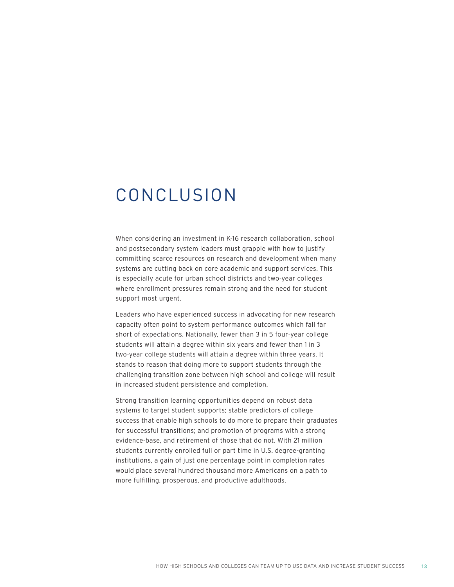## CONCLUSION

When considering an investment in K-16 research collaboration, school and postsecondary system leaders must grapple with how to justify committing scarce resources on research and development when many systems are cutting back on core academic and support services. This is especially acute for urban school districts and two-year colleges where enrollment pressures remain strong and the need for student support most urgent.

Leaders who have experienced success in advocating for new research capacity often point to system performance outcomes which fall far short of expectations. Nationally, fewer than 3 in 5 four-year college students will attain a degree within six years and fewer than 1 in 3 two-year college students will attain a degree within three years. It stands to reason that doing more to support students through the challenging transition zone between high school and college will result in increased student persistence and completion.

Strong transition learning opportunities depend on robust data systems to target student supports; stable predictors of college success that enable high schools to do more to prepare their graduates for successful transitions; and promotion of programs with a strong evidence-base, and retirement of those that do not. With 21 million students currently enrolled full or part time in U.S. degree-granting institutions, a gain of just one percentage point in completion rates would place several hundred thousand more Americans on a path to more fulfilling, prosperous, and productive adulthoods.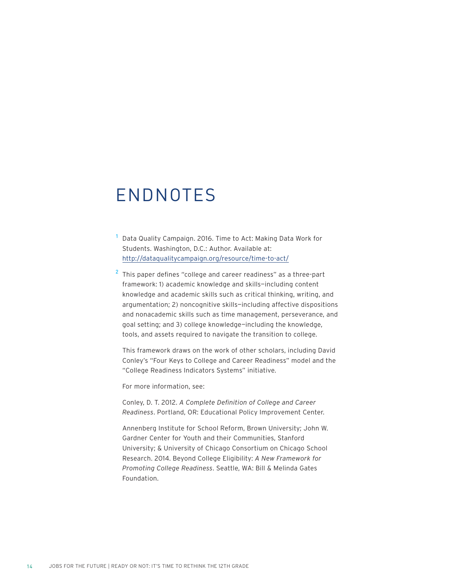## ENDNOTES

- <sup>1</sup> Data Quality Campaign. 2016. Time to Act: Making Data Work for Students. Washington, D.C.: Author. Available at: <http://dataqualitycampaign.org/resource/time-to-act/>
- $2$  This paper defines "college and career readiness" as a three-part framework: 1) academic knowledge and skills—including content knowledge and academic skills such as critical thinking, writing, and argumentation; 2) noncognitive skills—including affective dispositions and nonacademic skills such as time management, perseverance, and goal setting; and 3) college knowledge—including the knowledge, tools, and assets required to navigate the transition to college.

This framework draws on the work of other scholars, including David Conley's "Four Keys to College and Career Readiness" model and the "College Readiness Indicators Systems" initiative.

For more information, see:

Conley, D. T. 2012. *A Complete Definition of College and Career Readiness*. Portland, OR: Educational Policy Improvement Center.

Annenberg Institute for School Reform, Brown University; John W. Gardner Center for Youth and their Communities, Stanford University; & University of Chicago Consortium on Chicago School Research. 2014. Beyond College Eligibility: *A New Framework for Promoting College Readiness*. Seattle, WA: Bill & Melinda Gates Foundation.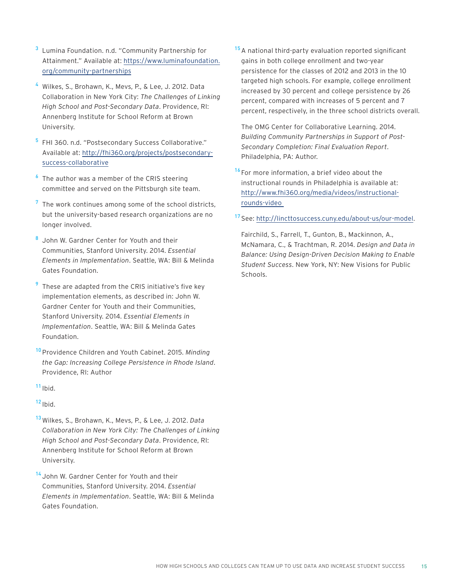- <sup>3</sup> Lumina Foundation. n.d. "Community Partnership for Attainment." Available at: [https://www.luminafoundation.](https://www.luminafoundation.org/community-partnerships) [org/community-partnerships](https://www.luminafoundation.org/community-partnerships)
- <sup>4</sup> Wilkes, S., Brohawn, K., Mevs, P., & Lee, J. 2012. Data Collaboration in New York City: *The Challenges of Linking High School and Post-Secondary Data*. Providence, RI: Annenberg Institute for School Reform at Brown University.
- <sup>5</sup> FHI 360. n.d. "Postsecondary Success Collaborative." Available at: [http://fhi360.org/projects/postsecondary](http://fhi360.org/projects/postsecondary-success-collaborative)[success-collaborative](http://fhi360.org/projects/postsecondary-success-collaborative)
- $6$  The author was a member of the CRIS steering committee and served on the Pittsburgh site team.
- $<sup>7</sup>$  The work continues among some of the school districts,</sup> but the university-based research organizations are no longer involved.
- 8 John W. Gardner Center for Youth and their Communities, Stanford University. 2014. *Essential Elements in Implementation*. Seattle, WA: Bill & Melinda Gates Foundation.
- These are adapted from the CRIS initiative's five key implementation elements, as described in: John W. Gardner Center for Youth and their Communities, Stanford University. 2014. *Essential Elements in Implementation*. Seattle, WA: Bill & Melinda Gates Foundation.
- <sup>10</sup> Providence Children and Youth Cabinet. 2015. *Minding the Gap: Increasing College Persistence in Rhode Island*. Providence, RI: Author

 $11$  Ibid.

 $12$  Ibid.

- <sup>13</sup> Wilkes, S., Brohawn, K., Mevs, P., & Lee, J. 2012. *Data Collaboration in New York City: The Challenges of Linking High School and Post-Secondary Data*. Providence, RI: Annenberg Institute for School Reform at Brown University.
- <sup>14</sup> John W. Gardner Center for Youth and their Communities, Stanford University. 2014. *Essential Elements in Implementation*. Seattle, WA: Bill & Melinda Gates Foundation.

<sup>15</sup> A national third-party evaluation reported significant gains in both college enrollment and two-year persistence for the classes of 2012 and 2013 in the 10 targeted high schools. For example, college enrollment increased by 30 percent and college persistence by 26 percent, compared with increases of 5 percent and 7 percent, respectively, in the three school districts overall.

The OMG Center for Collaborative Learning. 2014. *Building Community Partnerships in Support of Post-Secondary Completion: Final Evaluation Report*. Philadelphia, PA: Author.

 $16$  For more information, a brief video about the instructional rounds in Philadelphia is available at: [http://www.fhi360.org/media/videos/instructional](http://www.fhi360.org/media/videos/instructional-rounds-video )[rounds-video](http://www.fhi360.org/media/videos/instructional-rounds-video ) 

#### <sup>17</sup> See: [http://lincttosuccess.cuny.edu/about-us/our-model.](http://lincttosuccess.cuny.edu/about-us/our-model)

Fairchild, S., Farrell, T., Gunton, B., Mackinnon, A., McNamara, C., & Trachtman, R. 2014. *Design and Data in Balance: Using Design-Driven Decision Making to Enable Student Success*. New York, NY: New Visions for Public Schools.